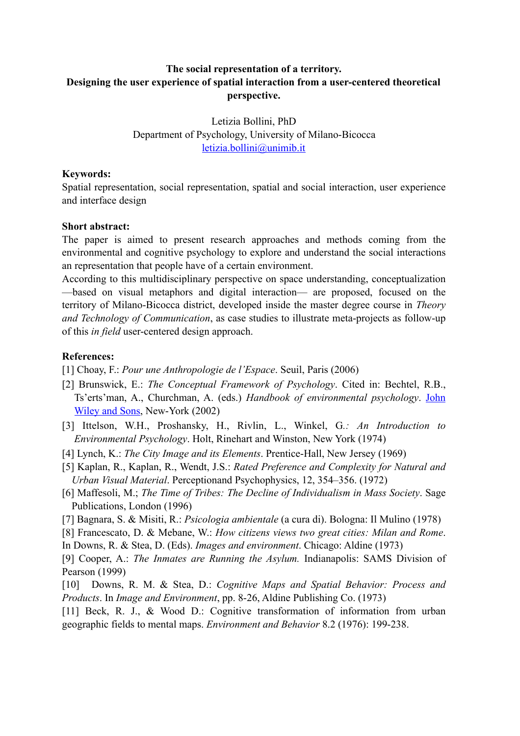## **The social representation of a territory. Designing the user experience of spatial interaction from a user-centered theoretical perspective.**

Letizia Bollini, PhD Department of Psychology, University of Milano-Bicocca [letizia.bollini@unimib.it](mailto:letizia.bollini@unimib.it)

## **Keywords:**

Spatial representation, social representation, spatial and social interaction, user experience and interface design

## **Short abstract:**

The paper is aimed to present research approaches and methods coming from the environmental and cognitive psychology to explore and understand the social interactions an representation that people have of a certain environment.

According to this multidisciplinary perspective on space understanding, conceptualization —based on visual metaphors and digital interaction— are proposed, focused on the territory of Milano-Bicocca district, developed inside the master degree course in *Theory and Technology of Communication*, as case studies to illustrate meta-projects as follow-up of this *in field* user-centered design approach.

## **References:**

- [1] Choay, F.: *Pour une Anthropologie de l'Espace*. Seuil, Paris (2006)
- [2] Brunswick, E.: *The Conceptual Framework of Psychology*. Cited in: Bechtel, R.B., Ts'erts'man, A., Churchman, A. (eds.) *Handbook of environmental psychology*. [John](http://books.google.it/url?id=G1F2nlg1pIAC&pg=PP1&q=http://www.wiley.com&clientid=ca-print-wiley-john_wiley_and_sons&channel=BTB-ca-print-wiley-john_wiley_and_sons+BTB-ISBN:0471405949&linkid=1&usg=AFQjCNEs0B7PUb0bRXCx5QOfOemsEE4qcQ&source=gbs_pub_info_s&cad=3)  [Wiley and Sons,](http://books.google.it/url?id=G1F2nlg1pIAC&pg=PP1&q=http://www.wiley.com&clientid=ca-print-wiley-john_wiley_and_sons&channel=BTB-ca-print-wiley-john_wiley_and_sons+BTB-ISBN:0471405949&linkid=1&usg=AFQjCNEs0B7PUb0bRXCx5QOfOemsEE4qcQ&source=gbs_pub_info_s&cad=3) New-York (2002)
- [3] Ittelson, W.H., Proshansky, H., Rivlin, L., Winkel, G*.: An Introduction to Environmental Psychology*. Holt, Rinehart and Winston, New York (1974)
- [4] Lynch, K.: *The City Image and its Elements*. Prentice-Hall, New Jersey (1969)
- [5] Kaplan, R., Kaplan, R., Wendt, J.S.: *Rated Preference and Complexity for Natural and Urban Visual Material*. Perceptionand Psychophysics, 12, 354–356. (1972)
- [6] Maffesoli, M.; *The Time of Tribes: The Decline of Individualism in Mass Society*. Sage Publications, London (1996)
- [7] Bagnara, S. & Misiti, R.: *Psicologia ambientale* (a cura di). Bologna: Il Mulino (1978)
- [8] Francescato, D. & Mebane, W.: *How citizens views two great cities: Milan and Rome*.
- In Downs, R. & Stea, D. (Eds). *Images and environment*. Chicago: Aldine (1973)
- [9] Cooper, A.: *The Inmates are Running the Asylum.* Indianapolis: SAMS Division of Pearson (1999)
- [10] Downs, R. M. & Stea, D.: *Cognitive Maps and Spatial Behavior: Process and Products*. In *Image and Environment*, pp. 8-26, Aldine Publishing Co. (1973)
- [11] Beck, R. J., & Wood D.: Cognitive transformation of information from urban geographic fields to mental maps. *Environment and Behavior* 8.2 (1976): 199-238.